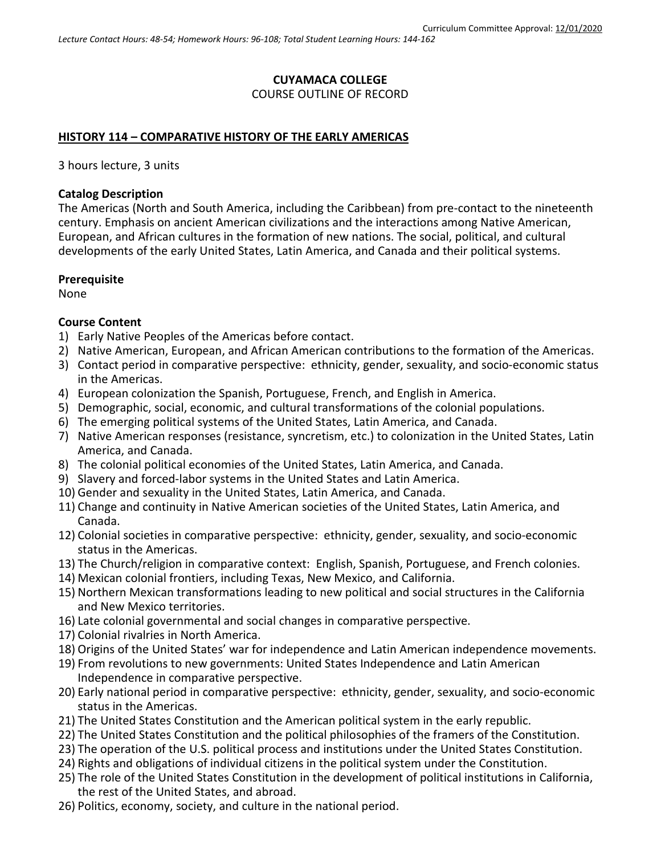# **CUYAMACA COLLEGE** COURSE OUTLINE OF RECORD

### **HISTORY 114 – COMPARATIVE HISTORY OF THE EARLY AMERICAS**

3 hours lecture, 3 units

#### **Catalog Description**

The Americas (North and South America, including the Caribbean) from pre-contact to the nineteenth century. Emphasis on ancient American civilizations and the interactions among Native American, European, and African cultures in the formation of new nations. The social, political, and cultural developments of the early United States, Latin America, and Canada and their political systems.

#### **Prerequisite**

None

#### **Course Content**

- 1) Early Native Peoples of the Americas before contact.
- 2) Native American, European, and African American contributions to the formation of the Americas.
- 3) Contact period in comparative perspective: ethnicity, gender, sexuality, and socio-economic status in the Americas.
- 4) European colonization the Spanish, Portuguese, French, and English in America.
- 5) Demographic, social, economic, and cultural transformations of the colonial populations.
- 6) The emerging political systems of the United States, Latin America, and Canada.
- 7) Native American responses (resistance, syncretism, etc.) to colonization in the United States, Latin America, and Canada.
- 8) The colonial political economies of the United States, Latin America, and Canada.
- 9) Slavery and forced-labor systems in the United States and Latin America.
- 10) Gender and sexuality in the United States, Latin America, and Canada.
- 11) Change and continuity in Native American societies of the United States, Latin America, and Canada.
- 12) Colonial societies in comparative perspective: ethnicity, gender, sexuality, and socio-economic status in the Americas.
- 13) The Church/religion in comparative context: English, Spanish, Portuguese, and French colonies.
- 14) Mexican colonial frontiers, including Texas, New Mexico, and California.
- 15) Northern Mexican transformations leading to new political and social structures in the California and New Mexico territories.
- 16) Late colonial governmental and social changes in comparative perspective.
- 17) Colonial rivalries in North America.
- 18) Origins of the United States' war for independence and Latin American independence movements.
- 19) From revolutions to new governments: United States Independence and Latin American Independence in comparative perspective.
- 20) Early national period in comparative perspective: ethnicity, gender, sexuality, and socio-economic status in the Americas.
- 21) The United States Constitution and the American political system in the early republic.
- 22) The United States Constitution and the political philosophies of the framers of the Constitution.
- 23) The operation of the U.S. political process and institutions under the United States Constitution.
- 24) Rights and obligations of individual citizens in the political system under the Constitution.
- 25) The role of the United States Constitution in the development of political institutions in California, the rest of the United States, and abroad.
- 26) Politics, economy, society, and culture in the national period.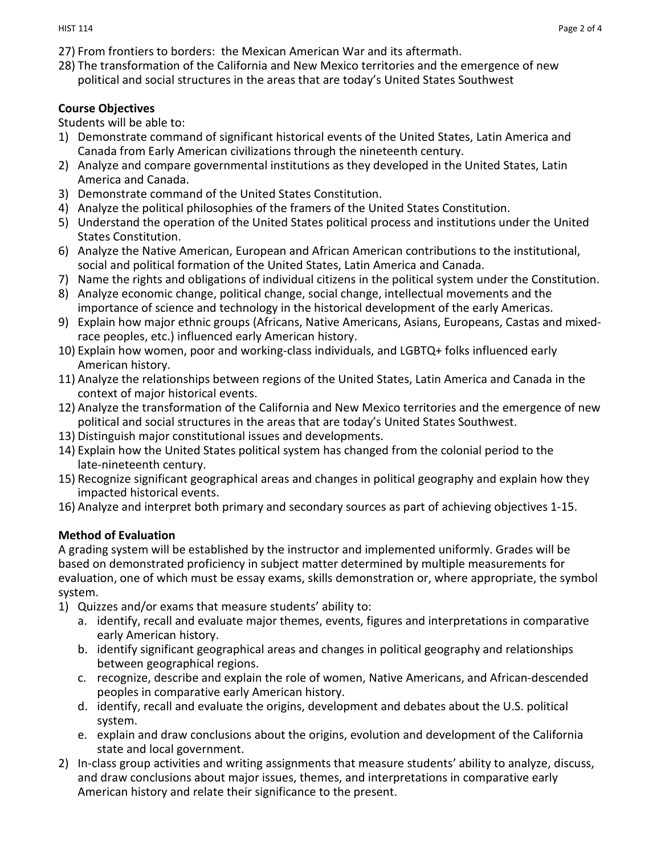- 27) From frontiers to borders: the Mexican American War and its aftermath.
- 28) The transformation of the California and New Mexico territories and the emergence of new political and social structures in the areas that are today's United States Southwest

#### **Course Objectives**

Students will be able to:

- 1) Demonstrate command of significant historical events of the United States, Latin America and Canada from Early American civilizations through the nineteenth century.
- 2) Analyze and compare governmental institutions as they developed in the United States, Latin America and Canada.
- 3) Demonstrate command of the United States Constitution.
- 4) Analyze the political philosophies of the framers of the United States Constitution.
- 5) Understand the operation of the United States political process and institutions under the United States Constitution.
- 6) Analyze the Native American, European and African American contributions to the institutional, social and political formation of the United States, Latin America and Canada.
- 7) Name the rights and obligations of individual citizens in the political system under the Constitution.
- 8) Analyze economic change, political change, social change, intellectual movements and the importance of science and technology in the historical development of the early Americas.
- 9) Explain how major ethnic groups (Africans, Native Americans, Asians, Europeans, Castas and mixedrace peoples, etc.) influenced early American history.
- 10) Explain how women, poor and working-class individuals, and LGBTQ+ folks influenced early American history.
- 11) Analyze the relationships between regions of the United States, Latin America and Canada in the context of major historical events.
- 12) Analyze the transformation of the California and New Mexico territories and the emergence of new political and social structures in the areas that are today's United States Southwest.
- 13) Distinguish major constitutional issues and developments.
- 14) Explain how the United States political system has changed from the colonial period to the late-nineteenth century.
- 15) Recognize significant geographical areas and changes in political geography and explain how they impacted historical events.
- 16) Analyze and interpret both primary and secondary sources as part of achieving objectives 1-15.

#### **Method of Evaluation**

A grading system will be established by the instructor and implemented uniformly. Grades will be based on demonstrated proficiency in subject matter determined by multiple measurements for evaluation, one of which must be essay exams, skills demonstration or, where appropriate, the symbol system.

- 1) Quizzes and/or exams that measure students' ability to:
	- a. identify, recall and evaluate major themes, events, figures and interpretations in comparative early American history.
	- b. identify significant geographical areas and changes in political geography and relationships between geographical regions.
	- c. recognize, describe and explain the role of women, Native Americans, and African-descended peoples in comparative early American history.
	- d. identify, recall and evaluate the origins, development and debates about the U.S. political system.
	- e. explain and draw conclusions about the origins, evolution and development of the California state and local government.
- 2) In-class group activities and writing assignments that measure students' ability to analyze, discuss, and draw conclusions about major issues, themes, and interpretations in comparative early American history and relate their significance to the present.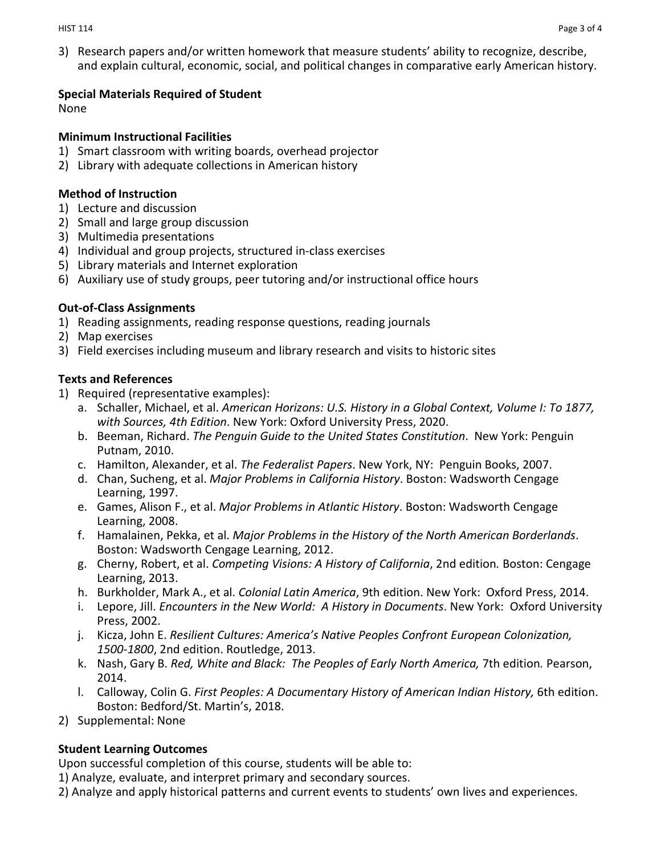3) Research papers and/or written homework that measure students' ability to recognize, describe, and explain cultural, economic, social, and political changes in comparative early American history.

### **Special Materials Required of Student**

None

### **Minimum Instructional Facilities**

- 1) Smart classroom with writing boards, overhead projector
- 2) Library with adequate collections in American history

## **Method of Instruction**

- 1) Lecture and discussion
- 2) Small and large group discussion
- 3) Multimedia presentations
- 4) Individual and group projects, structured in-class exercises
- 5) Library materials and Internet exploration
- 6) Auxiliary use of study groups, peer tutoring and/or instructional office hours

## **Out-of-Class Assignments**

- 1) Reading assignments, reading response questions, reading journals
- 2) Map exercises
- 3) Field exercises including museum and library research and visits to historic sites

## **Texts and References**

- 1) Required (representative examples):
	- a. Schaller, Michael, et al. *American Horizons: U.S. History in a Global Context, Volume I: To 1877, with Sources, 4th Edition*. New York: Oxford University Press, 2020.
	- b. Beeman, Richard. *The Penguin Guide to the United States Constitution*. New York: Penguin Putnam, 2010.
	- c. Hamilton, Alexander, et al. *The Federalist Papers*. New York, NY: Penguin Books, 2007.
	- d. Chan, Sucheng, et al. *Major Problems in California History*. Boston: Wadsworth Cengage Learning, 1997.
	- e. Games, Alison F., et al. *Major Problems in Atlantic History*. Boston: Wadsworth Cengage Learning, 2008.
	- f. Hamalainen, Pekka, et al. *Major Problems in the History of the North American Borderlands*. Boston: Wadsworth Cengage Learning, 2012.
	- g. Cherny, Robert, et al. *Competing Visions: A History of California*, 2nd edition*.* Boston: Cengage Learning, 2013.
	- h. Burkholder, Mark A., et al. *Colonial Latin America*, 9th edition. New York: Oxford Press, 2014.
	- i. Lepore, Jill. *Encounters in the New World: A History in Documents*. New York: Oxford University Press, 2002.
	- j. Kicza, John E. *Resilient Cultures: America's Native Peoples Confront European Colonization, 1500-1800*, 2nd edition. Routledge, 2013.
	- k. Nash, Gary B. *Red, White and Black: The Peoples of Early North America,* 7th edition*.* Pearson, 2014.
	- l. Calloway, Colin G. *First Peoples: A Documentary History of American Indian History,* 6th edition. Boston: Bedford/St. Martin's, 2018.
- 2) Supplemental: None

## **Student Learning Outcomes**

Upon successful completion of this course, students will be able to:

1) Analyze, evaluate, and interpret primary and secondary sources.

2) Analyze and apply historical patterns and current events to students' own lives and experiences.